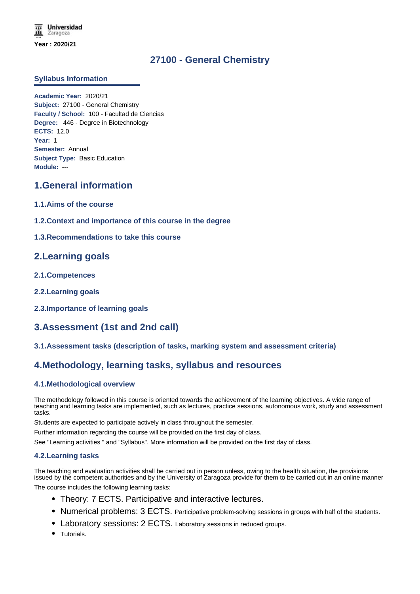# **27100 - General Chemistry**

### **Syllabus Information**

**Academic Year:** 2020/21 **Subject:** 27100 - General Chemistry **Faculty / School:** 100 - Facultad de Ciencias **Degree:** 446 - Degree in Biotechnology **ECTS:** 12.0 **Year:** 1 **Semester:** Annual **Subject Type:** Basic Education **Module:** ---

## **1.General information**

- **1.1.Aims of the course**
- **1.2.Context and importance of this course in the degree**
- **1.3.Recommendations to take this course**

## **2.Learning goals**

- **2.1.Competences**
- **2.2.Learning goals**
- **2.3.Importance of learning goals**

# **3.Assessment (1st and 2nd call)**

**3.1.Assessment tasks (description of tasks, marking system and assessment criteria)**

## **4.Methodology, learning tasks, syllabus and resources**

### **4.1.Methodological overview**

The methodology followed in this course is oriented towards the achievement of the learning objectives. A wide range of teaching and learning tasks are implemented, such as lectures, practice sessions, autonomous work, study and assessment tasks.

Students are expected to participate actively in class throughout the semester.

Further information regarding the course will be provided on the first day of class.

See "Learning activities " and "Syllabus". More information will be provided on the first day of class.

### **4.2.Learning tasks**

The teaching and evaluation activities shall be carried out in person unless, owing to the health situation, the provisions issued by the competent authorities and by the University of Zaragoza provide for them to be carried out in an online manner

The course includes the following learning tasks:

- Theory: 7 ECTS. Participative and interactive lectures.
- Numerical problems: 3 ECTS. Participative problem-solving sessions in groups with half of the students.
- Laboratory sessions: 2 ECTS. Laboratory sessions in reduced groups.
- Tutorials.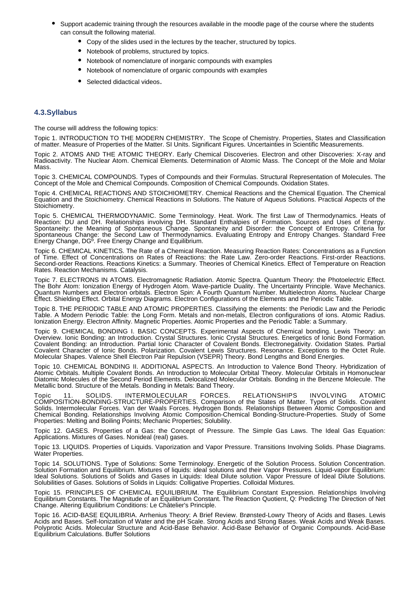- Support academic training through the resources available in the moodle page of the course where the students can consult the following material.
	- Copy of the slides used in the lectures by the teacher, structured by topics.
	- Notebook of problems, structured by topics.
	- Notebook of nomenclature of inorganic compounds with examples
	- Notebook of nomenclature of organic compounds with examples
	- Selected didactical videos.

#### **4.3.Syllabus**

The course will address the following topics:

Topic 1. INTRODUCTION TO THE MODERN CHEMISTRY. The Scope of Chemistry. Properties, States and Classification of matter. Measure of Properties of the Matter. SI Units. Significant Figures. Uncertainties in Scientific Measurements.

Topic 2. ATOMS AND THE ATOMIC THEORY. Early Chemical Discoveries. Electron and other Discoveries: X-ray and Radioactivity. The Nuclear Atom. Chemical Elements. Determination of Atomic Mass. The Concept of the Mole and Molar Mass.

Topic 3. CHEMICAL COMPOUNDS. Types of Compounds and their Formulas. Structural Representation of Molecules. The Concept of the Mole and Chemical Compounds. Composition of Chemical Compounds. Oxidation States.

Topic 4. CHEMICAL REACTIONS AND STOICHIOMETRY. Chemical Reactions and the Chemical Equation. The Chemical Equation and the Stoichiometry. Chemical Reactions in Solutions. The Nature of Aqueus Solutions. Practical Aspects of the Stoichiometry.

Topic 5. CHEMICAL THERMODYNAMIC. Some Terminology. Heat. Work. The first Law of Thermodynamics. Heats of Reaction: DU and DH. Relationships involving DH. Standard Enthalpies of Formation. Sources and Uses of Energy. Spontaneity: the Meaning of Spontaneous Change. Spontaneity and Disorder: the Concept of Entropy. Criteria for Spontaneous Change: the Second Law of Thermodynamics. Evaluating Entropy and Entropy Changes. Standard Free Energy Change, DGº. Free Energy Change and Equilibrium.

Topic 6. CHEMICAL KINETICS. The Rate of a Chemical Reaction. Measuring Reaction Rates: Concentrations as a Function of Time. Effect of Concentrations on Rates of Reactions: the Rate Law. Zero-order Reactions. First-order Reactions. Second-order Reactions. Reactions Kinetics: a Summary. Theories of Chemical Kinetics. Effect of Temperature on Reaction Rates. Reaction Mechanisms. Catalysis.

Topic 7. ELECTRONS IN ATOMS. Electromagnetic Radiation. Atomic Spectra. Quantum Theory: the Photoelectric Effect. The Bohr Atom: Ionization Energy of Hydrogen Atom. Wave-particle Duality. The Uncertainty Principle. Wave Mechanics. Quantum Numbers and Electron orbitals. Electron Spin: A Fourth Quantum Number. Multielectron Atoms. Nuclear Charge Effect. Shielding Effect. Orbital Energy Diagrams. Electron Configurations of the Elements and the Periodic Table.

Topic 8. THE PERIODIC TABLE AND ATOMIC PROPERTIES. Classifying the elements: the Periodic Law and the Periodic Table. A Modern Periodic Table: the Long Form. Metals and non-metals, Electron configurations of ions. Atomic Radius. Ionization Energy. Electron Affinity. Magnetic Properties. Atomic Properties and the Periodic Table: a Summary.

Topic 9. CHEMICAL BONDING I. BASIC CONCEPTS. Experimental Aspects of Chemical bonding. Lewis Theory: an Overview. Ionic Bonding: an Introduction. Crystal Structures. Ionic Crystal Structures. Energetics of Ionic Bond Formation. Covalent Bonding: an Introduction. Partial Ionic Character of Covalent Bonds. Electronegativity. Oxidation States. Partial Covalent Character of Ionic Bonds. Polarization. Covalent Lewis Structures. Resonance. Exceptions to the Octet Rule. Molecular Shapes. Valence Shell Electron Pair Repulsion (VSEPR) Theory. Bond Lengths and Bond Energies.

Topic 10. CHEMICAL BONDING II. ADDITIONAL ASPECTS. An Introduction to Valence Bond Theory. Hybridization of Atomic Orbitals. Multiple Covalent Bonds. An Introduction to Molecular Orbital Theory. Molecular Orbitals in Homonuclear Diatomic Molecules of the Second Period Elements. Delocalized Molecular Orbitals. Bonding in the Benzene Molecule. The Metallic bond. Structure of the Metals. Bonding in Metals: Band Theory.

Topic 11. SOLIDS. INTERMOLECULAR FORCES. RELATIONSHIPS INVOLVING ATOMIC COMPOSITION-BONDING-STRUCTURE-PROPERTIES. Comparison of the States of Matter. Types of Solids. Covalent Solids. Intermolecular Forces. Van der Waals Forces. Hydrogen Bonds. Relationships Between Atomic Composition and Chemical Bonding. Relationships Involving Atomic Composition-Chemical Bonding-Structure-Properties. Study of Some Properties: Melting and Boiling Points; Mechanic Properties; Solubility.

Topic 12. GASES. Properties of a Gas: the Concept of Pressure. The Simple Gas Laws. The Ideal Gas Equation: Applications. Mixtures of Gases. Nonideal (real) gases.

Topic 13. LIQUIDS. Properties of Liquids. Vaporization and Vapor Pressure. Transitions Involving Solids. Phase Diagrams. Water Properties.

Topic 14. SOLUTIONS. Type of Solutions: Some Terminology. Energetic of the Solution Process. Solution Concentration. Solution Formation and Equilibrium. Mixtures of liquids: ideal solutions and their Vapor Pressures. Liquid-vapor Equilibrium: Ideal Solutions. Solutions of Solids and Gases in Liquids: Ideal Dilute solution. Vapor Pressure of Ideal Dilute Solutions. Solubilities of Gases. Solutions of Solids in Liquids: Colligative Properties. Colloidal Mixtures.

Topic 15. PRINCIPLES OF CHEMICAL EQUILIBRIUM. The Equilibrium Constant Expression. Relationships Involving Equilibrium Constants. The Magnitude of an Equilibrium Constant. The Reaction Quotient, Q: Predicting The Direction of Net Change. Altering Equilibrium Conditions: Le Châtelier's Principle.

Topic 16. ACID-BASE EQUILIBRIA. Arrhenius Theory: A Brief Review. Brønsted-Lowry Theory of Acids and Bases. Lewis Acids and Bases. Self-Ionization of Water and the pH Scale. Strong Acids and Strong Bases. Weak Acids and Weak Bases. Polyprotic Acids. Molecular Structure and Acid-Base Behavior. Acid-Base Behavior of Organic Compounds. Acid-Base Equilibrium Calculations. Buffer Solutions